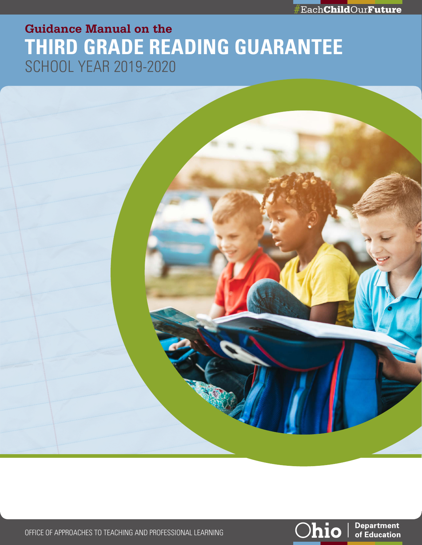

# **Guidance Manual on the THIRD GRADE READING GUARANTEE** SCHOOL YEAR 2019-2020



OFFICE OF APPROACHES TO TEACHING AND PROFESSIONAL LEARNING



**Department** of Education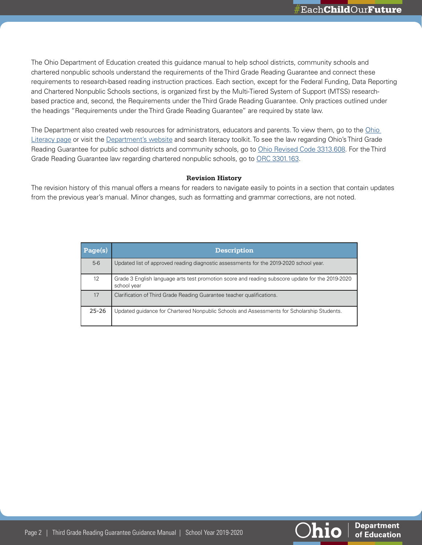The Ohio Department of Education created this guidance manual to help school districts, community schools and chartered nonpublic schools understand the requirements of the Third Grade Reading Guarantee and connect these requirements to research-based reading instruction practices. Each section, except for the Federal Funding, Data Reporting and Chartered Nonpublic Schools sections, is organized first by the Multi-Tiered System of Support (MTSS) researchbased practice and, second, the Requirements under the Third Grade Reading Guarantee. Only practices outlined under the headings "Requirements under the Third Grade Reading Guarantee" are required by state law.

The Department also created web resources for administrators, educators and parents. To view them, go to the [Ohio](http://education.ohio.gov/Topics/Learning-in-Ohio/Literacy/Ohio-s-Literacy-Toolkits)  [Literacy page](http://education.ohio.gov/Topics/Learning-in-Ohio/Literacy/Ohio-s-Literacy-Toolkits) or visit the [Department's website](http://education.ohio.gov) and search literacy toolkit. To see the law regarding Ohio's Third Grade Reading Guarantee for public school districts and community schools, go to [Ohio Revised Code 3313.608.](http://codes.ohio.gov/orc/3313.608v2) For the Third Grade Reading Guarantee law regarding chartered nonpublic schools, go to [ORC 3301.163.](http://codes.ohio.gov/orc/3301.163)

#### **Revision History**

The revision history of this manual offers a means for readers to navigate easily to points in a section that contain updates from the previous year's manual. Minor changes, such as formatting and grammar corrections, are not noted.

| Page(s)   | <b>Description</b>                                                                                              |
|-----------|-----------------------------------------------------------------------------------------------------------------|
| $5-6$     | Updated list of approved reading diagnostic assessments for the 2019-2020 school year.                          |
| 12        | Grade 3 English language arts test promotion score and reading subscore update for the 2019-2020<br>school year |
| 17        | Clarification of Third Grade Reading Guarantee teacher qualifications.                                          |
| $25 - 26$ | Updated guidance for Chartered Nonpublic Schools and Assessments for Scholarship Students.                      |

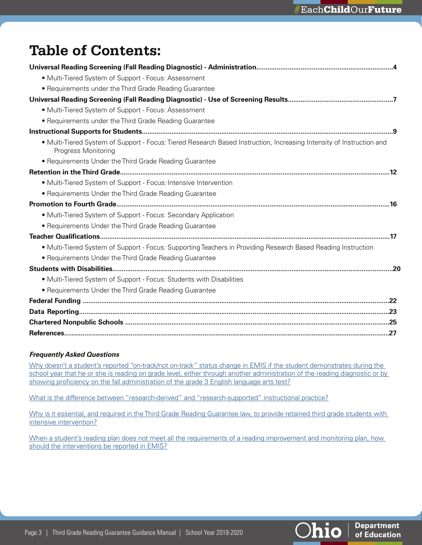# **Table of Contents:**

| • Multi-Tiered System of Support - Focus: Assessment                                                                                               |
|----------------------------------------------------------------------------------------------------------------------------------------------------|
| • Requirements under the Third Grade Reading Guarantee                                                                                             |
|                                                                                                                                                    |
| • Multi-Tiered System of Support - Focus: Assessment                                                                                               |
| • Requirements under the Third Grade Reading Guarantee                                                                                             |
|                                                                                                                                                    |
| • Multi-Tiered System of Support - Focus: Tiered Research Based Instruction, Increasing Intensity of Instruction and<br><b>Progress Monitoring</b> |
| • Requirements Under the Third Grade Reading Guarantee                                                                                             |
|                                                                                                                                                    |
| • Multi-Tiered System of Support - Focus: Intensive Intervention                                                                                   |
| • Requirements Under the Third Grade Reading Guarantee                                                                                             |
|                                                                                                                                                    |
| • Multi-Tiered System of Support - Focus: Secondary Application                                                                                    |
| • Requirements Under the Third Grade Reading Guarantee                                                                                             |
|                                                                                                                                                    |
| • Multi-Tiered System of Support - Focus: Supporting Teachers in Providing Research Based Reading Instruction                                      |
| • Requirements Under the Third Grade Reading Guarantee                                                                                             |
|                                                                                                                                                    |
| • Multi-Tiered System of Support - Focus: Students with Disabilities                                                                               |
| • Requirements Under the Third Grade Reading Guarantee                                                                                             |
|                                                                                                                                                    |
|                                                                                                                                                    |
|                                                                                                                                                    |
|                                                                                                                                                    |

# *Frequently Asked Questions*

[Why doesn't a student's reported "on-track/not on-track" status change in EMIS if the student demonstrates during the](#page-7-0)  school year that he or she is reading on grade level, either through another administration of the reading diagnostic or by [showing proficiency on the fall administration of the grade 3 English language arts test?](#page-7-0)

[What is the difference between "research-derived" and "research-supported" instructional practice?](#page-8-1)

[Why is it essential, and required in the Third Grade Reading Guarantee law, to provide retained third grade students with](#page-11-1)  [intensive intervention?](#page-11-1)

When a student's reading plan does not meet all the requirements of a reading improvement and monitoring plan, how [should the interventions be reported in EMIS?](#page-23-0)



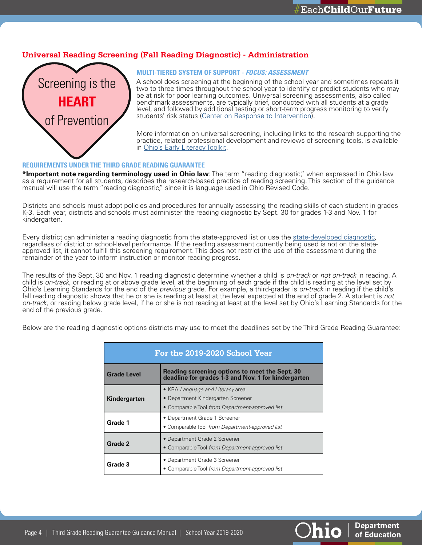**Department** 

of Education

**hio** 

# <span id="page-3-0"></span>**Universal Reading Screening (Fall Reading Diagnostic) - Administration**



#### **MULTI-TIERED SYSTEM OF SUPPORT - FOCUS: ASSESSMENT**

A school does screening at the beginning of the school year and sometimes repeats it two to three times throughout the school year to identify or predict students who may be at risk for poor learning outcomes. Universal screening assessments, also called benchmark assessments, are typically brief, conducted with all students at a grade level, and followed by additional testing or short-term progress monitoring to verify students' risk status ([Center on Response to Intervention\)](http://rti4success.org/).

More information on universal screening, including links to the research supporting the practice, related professional development and reviews of screening tools, is available in [Ohio's Early Literacy Toolkit](http://education.ohio.gov/Topics/Learning-in-Ohio/Literacy/Ohio-s-Literacy-Toolkits/District-School-and-Teacher-Support-Toolbox).

#### **REQUIREMENTS UNDER THE THIRD GRADE READING GUARANTEE**

**\*Important note regarding terminology used in Ohio law**: The term "reading diagnostic," when expressed in Ohio law as a requirement for all students, describes the research-based practice of reading screening. This section of the guidance manual will use the term "reading diagnostic," since it is language used in Ohio Revised Code.

Districts and schools must adopt policies and procedures for annually assessing the reading skills of each student in grades K-3. Each year, districts and schools must administer the reading diagnostic by Sept. 30 for grades 1-3 and Nov. 1 for kindergarten.

Every district can administer a reading diagnostic from the state-approved list or use the [state-developed diagnostic,](http://education.ohio.gov/Topics/Testing/Diagnostic-Assessments/New-Diagnostic-Assessments-List) regardless of district or school-level performance. If the reading assessment currently being used is not on the stateapproved list, it cannot fulfill this screening requirement. This does not restrict the use of the assessment during the remainder of the year to inform instruction or monitor reading progress.

The results of the Sept. 30 and Nov. 1 reading diagnostic determine whether a child is *on-track* or *not on-track* in reading. A child is *on-track*, or reading at or above grade level, at the beginning of each grade if the child is reading at the level set by Ohio's Learning Standards for the end of the *previous* grade. For example, a third-grader is *on-track* in reading if the child's fall reading diagnostic shows that he or she is reading at least at the level expected at the end of grade 2. A student is *not on-track*, or reading below grade level, if he or she is not reading at least at the level set by Ohio's Learning Standards for the end of the previous grade.

Below are the reading diagnostic options districts may use to meet the deadlines set by the Third Grade Reading Guarantee:

| For the 2019-2020 School Year                                                                                               |                                                                                                                           |  |  |
|-----------------------------------------------------------------------------------------------------------------------------|---------------------------------------------------------------------------------------------------------------------------|--|--|
| Reading screening options to meet the Sept. 30<br><b>Grade Level</b><br>deadline for grades 1-3 and Nov. 1 for kindergarten |                                                                                                                           |  |  |
| Kindergarten                                                                                                                | • KRA Language and Literacy area<br>• Department Kindergarten Screener<br>• Comparable Tool from Department-approved list |  |  |
| Grade 1                                                                                                                     | • Department Grade 1 Screener<br>• Comparable Tool from Department-approved list                                          |  |  |
| Grade 2                                                                                                                     | • Department Grade 2 Screener<br>• Comparable Tool from Department-approved list                                          |  |  |
| Grade 3                                                                                                                     | • Department Grade 3 Screener<br>• Comparable Tool from Department-approved list                                          |  |  |

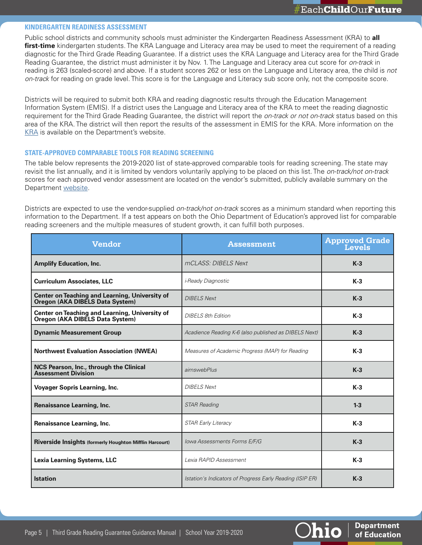**Department** 

of Education

hio

#### **KINDERGARTEN READINESS ASSESSMENT**

Public school districts and community schools must administer the Kindergarten Readiness Assessment (KRA) to **all**  first-time kindergarten students. The KRA Language and Literacy area may be used to meet the requirement of a reading diagnostic for the Third Grade Reading Guarantee. If a district uses the KRA Language and Literacy area for the Third Grade Reading Guarantee, the district must administer it by Nov. 1. The Language and Literacy area cut score for *on-track* in reading is 263 (scaled-score) and above. If a student scores 262 or less on the Language and Literacy area, the child is *not on-track* for reading on grade level. This score is for the Language and Literacy sub score only, not the composite score.

Districts will be required to submit both KRA and reading diagnostic results through the Education Management Information System (EMIS). If a district uses the Language and Literacy area of the KRA to meet the reading diagnostic requirement for the Third Grade Reading Guarantee, the district will report the *on-track or not on-track* status based on this area of the KRA. The district will then report the results of the assessment in EMIS for the KRA. More information on the [KRA](http://education.ohio.gov/Topics/Early-Learning/Kindergarten/Ohios-Kindergarten-Readiness-Assessment) is available on the Department's website.

#### **STATE-APPROVED COMPARABLE TOOLS FOR READING SCREENING**

The table below represents the 2019-2020 list of state-approved comparable tools for reading screening. The state may revisit the list annually, and it is limited by vendors voluntarily applying to be placed on this list. The *on-track/not on-track*  scores for each approved vendor assessment are located on the vendor's submitted, publicly available summary on the Department [website](http://education.ohio.gov/Topics/Learning-in-Ohio/Literacy/Third-Grade-Reading-Guarantee/Third-Grade-Reading-Guarantee-District-Resources/Reading-Diagnostic-Assessments).

Districts are expected to use the vendor-supplied *on-track/not on-track* scores as a minimum standard when reporting this information to the Department. If a test appears on both the Ohio Department of Education's approved list for comparable reading screeners and the multiple measures of student growth, it can fulfill both purposes.

| <b>Vendor</b>                                                                     | <b>Assessment</b>                                         | <b>Approved Grade</b><br><b>Levels</b> |
|-----------------------------------------------------------------------------------|-----------------------------------------------------------|----------------------------------------|
| <b>Amplify Education, Inc.</b>                                                    | mCLASS: DIBELS Next                                       | $K-3$                                  |
| <b>Curriculum Associates, LLC</b>                                                 | <i>i-Ready Diagnostic</i>                                 | $K-3$                                  |
| Center on Teaching and Learning, University of<br>Oregon (AKA DIBELS Data System) | <b>DIBELS Next</b>                                        | $K-3$                                  |
| Center on Teaching and Learning, University of<br>Oregon (AKA DIBELS Data System) | <b>DIBELS 8th Edition</b>                                 | $K-3$                                  |
| <b>Dynamic Measurement Group</b>                                                  | Acadience Reading K-6 (also published as DIBELS Next)     | $K-3$                                  |
| <b>Northwest Evaluation Association (NWEA)</b>                                    | Measures of Academic Progress (MAP) for Reading           | $K-3$                                  |
| NCS Pearson, Inc., through the Clinical<br><b>Assessment Division</b>             | aimswebPlus                                               | $K-3$                                  |
| <b>Voyager Sopris Learning, Inc.</b>                                              | <b>DIBELS Next</b>                                        | $K-3$                                  |
| <b>Renaissance Learning, Inc.</b>                                                 | <b>STAR Reading</b>                                       | $1 - 3$                                |
| Renaissance Learning, Inc.                                                        | <b>STAR Early Literacy</b>                                | $K-3$                                  |
| Riverside Insights (formerly Houghton Mifflin Harcourt)                           | Iowa Assessments Forms E/F/G                              | $K-3$                                  |
| <b>Lexia Learning Systems, LLC</b>                                                | Lexia RAPID Assessment                                    | $K-3$                                  |
| <b>Istation</b>                                                                   | Istation's Indicators of Progress Early Reading (ISIP ER) | $K-3$                                  |

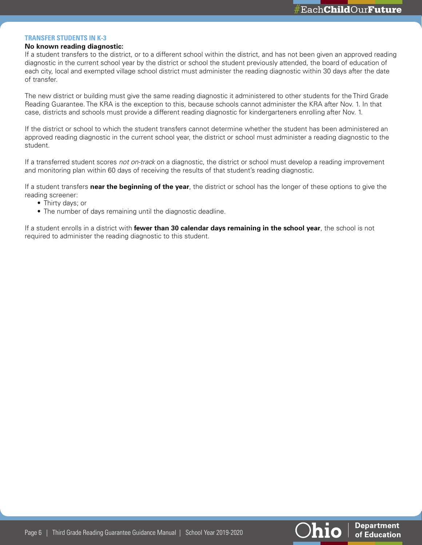#### **TRANSFER STUDENTS IN K-3**

#### **No known reading diagnostic:**

If a student transfers to the district, or to a different school within the district, and has not been given an approved reading diagnostic in the current school year by the district or school the student previously attended, the board of education of each city, local and exempted village school district must administer the reading diagnostic within 30 days after the date of transfer.

The new district or building must give the same reading diagnostic it administered to other students for the Third Grade Reading Guarantee. The KRA is the exception to this, because schools cannot administer the KRA after Nov. 1. In that case, districts and schools must provide a different reading diagnostic for kindergarteners enrolling after Nov. 1.

If the district or school to which the student transfers cannot determine whether the student has been administered an approved reading diagnostic in the current school year, the district or school must administer a reading diagnostic to the student.

If a transferred student scores *not on-track* on a diagnostic, the district or school must develop a reading improvement and monitoring plan within 60 days of receiving the results of that student's reading diagnostic.

If a student transfers **near the beginning of the year**, the district or school has the longer of these options to give the reading screener:

- Thirty days; or
- The number of days remaining until the diagnostic deadline.

If a student enrolls in a district with **fewer than 30 calendar days remaining in the school year**, the school is not required to administer the reading diagnostic to this student.



**Department** 

of Education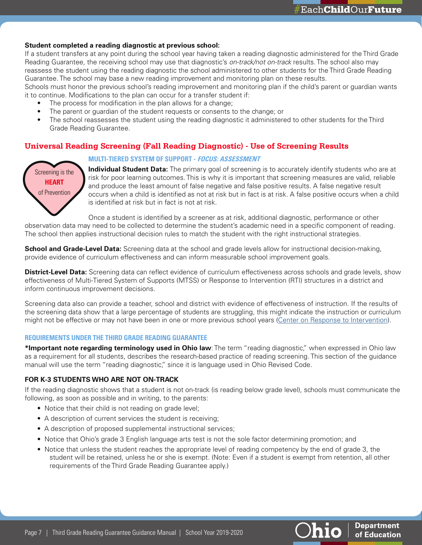#### <span id="page-6-0"></span>**Student completed a reading diagnostic at previous school:**

If a student transfers at any point during the school year having taken a reading diagnostic administered for the Third Grade Reading Guarantee, the receiving school may use that diagnostic's *on-track/not on-track* results. The school also may reassess the student using the reading diagnostic the school administered to other students for the Third Grade Reading Guarantee. The school may base a new reading improvement and monitoring plan on these results.

Schools must honor the previous school's reading improvement and monitoring plan if the child's parent or guardian wants it to continue. Modifications to the plan can occur for a transfer student if:

- The process for modification in the plan allows for a change:
- The parent or guardian of the student requests or consents to the change; or
- The school reassesses the student using the reading diagnostic it administered to other students for the Third Grade Reading Guarantee.

# **Universal Reading Screening (Fall Reading Diagnostic) - Use of Screening Results**

# Screening is the **HEART**  of Prevention

**MULTI-TIERED SYSTEM OF SUPPORT - FOCUS: ASSESSMENT**

**Individual Student Data:** The primary goal of screening is to accurately identify students who are at risk for poor learning outcomes. This is why it is important that screening measures are valid, reliable and produce the least amount of false negative and false positive results. A false negative result occurs when a child is identified as not at risk but in fact is at risk. A false positive occurs when a child is identified at risk but in fact is not at risk.

Once a student is identified by a screener as at risk, additional diagnostic, performance or other observation data may need to be collected to determine the student's academic need in a specific component of reading. The school then applies instructional decision rules to match the student with the right instructional strategies.

**School and Grade-Level Data:** Screening data at the school and grade levels allow for instructional decision-making, provide evidence of curriculum effectiveness and can inform measurable school improvement goals.

**District-Level Data:** Screening data can reflect evidence of curriculum effectiveness across schools and grade levels, show effectiveness of Multi-Tiered System of Supports (MTSS) or Response to Intervention (RTI) structures in a district and inform continuous improvement decisions.

Screening data also can provide a teacher, school and district with evidence of effectiveness of instruction. If the results of the screening data show that a large percentage of students are struggling, this might indicate the instruction or curriculum might not be effective or may not have been in one or more previous school years ([Center on Response to Intervention\)](https://rti4success.org/video/implementer-series-using-screening-data-decision-making).

#### **REQUIREMENTS UNDER THE THIRD GRADE READING GUARANTEE**

**\*Important note regarding terminology used in Ohio law**: The term "reading diagnostic," when expressed in Ohio law as a requirement for all students, describes the research-based practice of reading screening. This section of the guidance manual will use the term "reading diagnostic," since it is language used in Ohio Revised Code.

### **FOR K-3 STUDENTS WHO ARE NOT ON-TRACK**

If the reading diagnostic shows that a student is not on-track (is reading below grade level), schools must communicate the following, as soon as possible and in writing, to the parents:

- Notice that their child is not reading on grade level;
- A description of current services the student is receiving;
- A description of proposed supplemental instructional services;
- Notice that Ohio's grade 3 English language arts test is not the sole factor determining promotion; and
- Notice that unless the student reaches the appropriate level of reading competency by the end of grade 3, the student will be retained, unless he or she is exempt. (Note: Even if a student is exempt from retention, all other requirements of the Third Grade Reading Guarantee apply.)

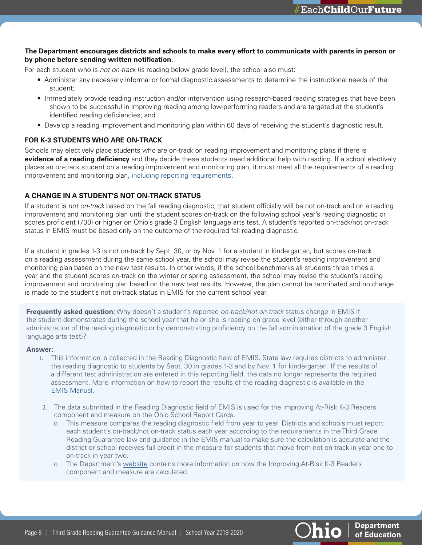### **The Department encourages districts and schools to make every effort to communicate with parents in person or by phone before sending written notification.**

For each student who is *not on-track* (is reading below grade level), the school also must:

- Administer any necessary informal or formal diagnostic assessments to determine the instructional needs of the student;
- Immediately provide reading instruction and/or intervention using research-based reading strategies that have been shown to be successful in improving reading among low-performing readers and are targeted at the student's identified reading deficiencies; and
- Develop a reading improvement and monitoring plan within 60 days of receiving the student's diagnostic result.

# **FOR K-3 STUDENTS WHO ARE ON-TRACK**

Schools may electively place students who are on-track on reading improvement and monitoring plans if there is **evidence of a reading deficiency** and they decide these students need additional help with reading. If a school electively places an on-track student on a reading improvement and monitoring plan, it must meet all the requirements of a reading improvement and monitoring plan, [including reporting requirements.](#page-22-0)

### **A CHANGE IN A STUDENT'S NOT ON-TRACK STATUS**

If a student is *not on-track* based on the fall reading diagnostic, that student officially will be not on-track and on a reading improvement and monitoring plan until the student scores on-track on the following school year's reading diagnostic or scores proficient (700) or higher on Ohio's grade 3 English language arts test. A student's reported on-track/not on-track status in EMIS must be based only on the outcome of the required fall reading diagnostic.

If a student in grades 1-3 is not on-track by Sept. 30, or by Nov. 1 for a student in kindergarten, but scores on-track on a reading assessment during the same school year, the school may revise the student's reading improvement and monitoring plan based on the new test results. In other words, if the school benchmarks all students three times a year and the student scores on-track on the winter or spring assessment, the school may revise the student's reading improvement and monitoring plan based on the new test results. However, the plan cannot be terminated and no change is made to the student's not on-track status in EMIS for the current school year.

<span id="page-7-0"></span>**Frequently asked question:** Why doesn't a student's reported *on-track/not on-track* status change in EMIS if the student demonstrates during the school year that he or she is reading on grade level (either through another administration of the reading diagnostic or by demonstrating proficiency on the fall administration of the grade 3 English language arts test)?

#### **Answer:**

- 1. This information is collected in the Reading Diagnostic field of EMIS. State law requires districts to administer the reading diagnostic to students by Sept. 30 in grades 1-3 and by Nov. 1 for kindergarten. If the results of a different test administration are entered in this reporting field, the data no longer represents the required assessment. More information on how to report the results of the reading diagnostic is available in the [EMIS Manual](http://education.ohio.gov/Topics/Data/EMIS/EMIS-Documentation/Current-EMIS-Manual).
- 2. The data submitted in the Reading Diagnostic field of EMIS is used for the Improving At-Risk K-3 Readers component and measure on the Ohio School Report Cards.
	- o This measure compares the reading diagnostic field from year to year. Districts and schools must report each student's on-track/not on-track status each year according to the requirements in the Third Grade Reading Guarantee law and guidance in the EMIS manual to make sure the calculation is accurate and the district or school receives full credit in the measure for students that move from not on-track in year one to on-track in year two.
	- o The Department's [website](http://education.ohio.gov/Topics/Data/Report-Card-Resources/Improving-At-Risk-K-3-Readers) contains more information on how the Improving At-Risk K-3 Readers component and measure are calculated.



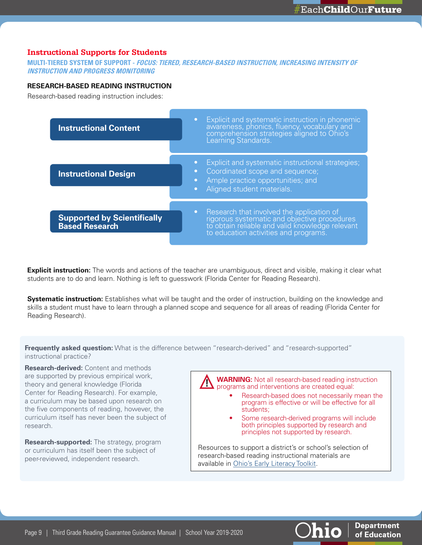# <span id="page-8-0"></span>**Instructional Supports for Students**

**MULTI-TIERED SYSTEM OF SUPPORT - FOCUS: TIERED, RESEARCH-BASED INSTRUCTION, INCREASING INTENSITY OF INSTRUCTION AND PROGRESS MONITORING**

### **RESEARCH-BASED READING INSTRUCTION**

Research-based reading instruction includes:



**Explicit instruction:** The words and actions of the teacher are unambiguous, direct and visible, making it clear what students are to do and learn. Nothing is left to guesswork (Florida Center for Reading Research).

**Systematic instruction:** Establishes what will be taught and the order of instruction, building on the knowledge and skills a student must have to learn through a planned scope and sequence for all areas of reading (Florida Center for Reading Research).

<span id="page-8-1"></span>**Frequently asked question:** What is the difference between "research-derived" and "research-supported" instructional practice?

**Research-derived:** Content and methods are supported by previous empirical work, theory and general knowledge (Florida Center for Reading Research). For example, a curriculum may be based upon research on the five components of reading, however, the curriculum itself has never been the subject of research.

**Research-supported:** The strategy, program or curriculum has itself been the subject of peer-reviewed, independent research.

**WARNING:** Not all research-based reading instruction programs and interventions are created equal:

- Research-based does not necessarily mean the program is effective or will be effective for all students;
- Some research-derived programs will include both principles supported by research and principles not supported by research.

Resources to support a district's or school's selection of research-based reading instructional materials are available in [Ohio's Early Literacy Toolkit](http://education.ohio.gov/Topics/Learning-in-Ohio/Literacy/Ohio-s-Literacy-Toolkits/District-School-and-Teacher-Support-Toolbox).

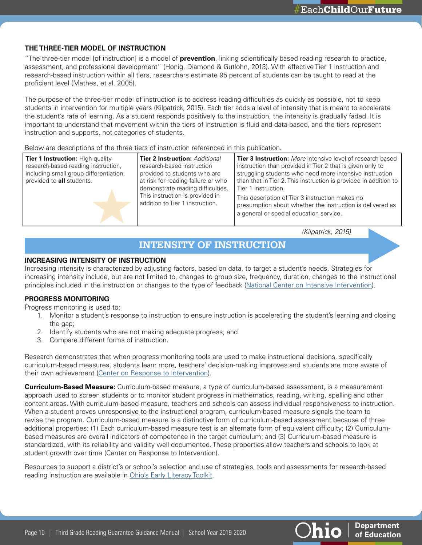# **THE THREE-TIER MODEL OF INSTRUCTION**

"The three-tier model [of instruction] is a model of **prevention**, linking scientifically based reading research to practice, assessment, and professional development" (Honig, Diamond & Gutlohn, 2013). With effective Tier 1 instruction and research-based instruction within all tiers, researchers estimate 95 percent of students can be taught to read at the proficient level (Mathes, et al. 2005).

The purpose of the three-tier model of instruction is to address reading difficulties as quickly as possible, not to keep students in intervention for multiple years (Kilpatrick, 2015). Each tier adds a level of intensity that is meant to accelerate the student's rate of learning. As a student responds positively to the instruction, the intensity is gradually faded. It is important to understand that movement within the tiers of instruction is fluid and data-based, and the tiers represent instruction and supports, not categories of students.

Below are descriptions of the three tiers of instruction referenced in this publication.

| Tier 1 Instruction: High-quality<br>research-based reading instruction,<br>including small group differentiation,<br>provided to all students. | <b>Tier 2 Instruction: Additional</b><br>research-based instruction<br>provided to students who are<br>at risk for reading failure or who<br>demonstrate reading difficulties.<br>This instruction is provided in<br>addition to Tier 1 instruction. | <b>Tier 3 Instruction:</b> More intensive level of research-based<br>instruction than provided in Tier 2 that is given only to<br>struggling students who need more intensive instruction<br>than that in Tier 2. This instruction is provided in addition to<br>Tier 1 instruction.<br>This description of Tier 3 instruction makes no<br>presumption about whether the instruction is delivered as<br>a general or special education service. |
|------------------------------------------------------------------------------------------------------------------------------------------------|------------------------------------------------------------------------------------------------------------------------------------------------------------------------------------------------------------------------------------------------------|-------------------------------------------------------------------------------------------------------------------------------------------------------------------------------------------------------------------------------------------------------------------------------------------------------------------------------------------------------------------------------------------------------------------------------------------------|
|------------------------------------------------------------------------------------------------------------------------------------------------|------------------------------------------------------------------------------------------------------------------------------------------------------------------------------------------------------------------------------------------------------|-------------------------------------------------------------------------------------------------------------------------------------------------------------------------------------------------------------------------------------------------------------------------------------------------------------------------------------------------------------------------------------------------------------------------------------------------|

*(Kilpatrick, 2015)*

# **INTENSITY OF INSTRUCTION**

### **INCREASING INTENSITY OF INSTRUCTION**

Increasing intensity is characterized by adjusting factors, based on data, to target a student's needs. Strategies for increasing intensity include, but are not limited to, changes to group size, frequency, duration, changes to the instructional principles included in the instruction or changes to the type of feedback [\(National Center on Intensive Intervention\)](https://intensiveintervention.org/).

# **PROGRESS MONITORING**

Progress monitoring is used to:

- 1. Monitor a student's response to instruction to ensure instruction is accelerating the student's learning and closing the gap:
- 2. Identify students who are not making adequate progress; and
- 3. Compare different forms of instruction.

Research demonstrates that when progress monitoring tools are used to make instructional decisions, specifically curriculum-based measures, students learn more, teachers' decision-making improves and students are more aware of their own achievement ([Center on Response to Intervention\)](https://rti4success.org/video/implementer-series-using-screening-data-decision-making).

**Curriculum-Based Measure:** Curriculum-based measure, a type of curriculum-based assessment, is a measurement approach used to screen students or to monitor student progress in mathematics, reading, writing, spelling and other content areas. With curriculum-based measure, teachers and schools can assess individual responsiveness to instruction. When a student proves unresponsive to the instructional program, curriculum-based measure signals the team to revise the program. Curriculum-based measure is a distinctive form of curriculum-based assessment because of three additional properties: (1) Each curriculum-based measure test is an alternate form of equivalent difficulty; (2) Curriculumbased measures are overall indicators of competence in the target curriculum; and (3) Curriculum-based measure is standardized, with its reliability and validity well documented. These properties allow teachers and schools to look at student growth over time (Center on Response to Intervention).

Resources to support a district's or school's selection and use of strategies, tools and assessments for research-based reading instruction are available in [Ohio's Early Literacy Toolkit.](http://education.ohio.gov/Topics/Learning-in-Ohio/Literacy/Ohio-s-Literacy-Toolkits/District-School-and-Teacher-Support-Toolbox)

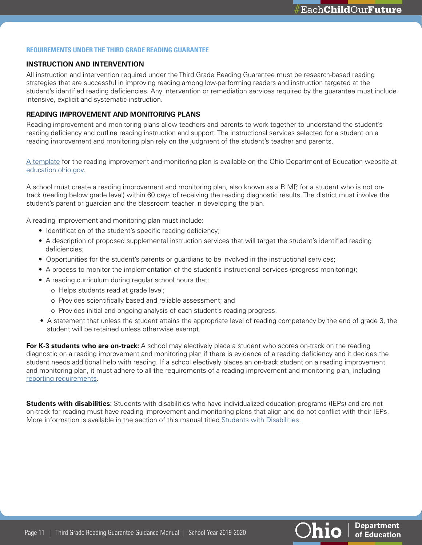#### **REQUIREMENTS UNDER THE THIRD GRADE READING GUARANTEE**

### **INSTRUCTION AND INTERVENTION**

All instruction and intervention required under the Third Grade Reading Guarantee must be research-based reading strategies that are successful in improving reading among low-performing readers and instruction targeted at the student's identified reading deficiencies. Any intervention or remediation services required by the guarantee must include intensive, explicit and systematic instruction.

### **READING IMPROVEMENT AND MONITORING PLANS**

Reading improvement and monitoring plans allow teachers and parents to work together to understand the student's reading deficiency and outline reading instruction and support. The instructional services selected for a student on a reading improvement and monitoring plan rely on the judgment of the student's teacher and parents.

[A template](http://education.ohio.gov/Topics/Learning-in-Ohio/Literacy/Third-Grade-Reading-Guarantee/Third-Grade-Reading-Guarantee-Teacher-Resources) for the reading improvement and monitoring plan is available on the Ohio Department of Education website at [education.ohio.gov](http://education.ohio.gov).

A school must create a reading improvement and monitoring plan, also known as a RIMP, for a student who is not ontrack (reading below grade level) within 60 days of receiving the reading diagnostic results. The district must involve the student's parent or guardian and the classroom teacher in developing the plan.

A reading improvement and monitoring plan must include:

- Identification of the student's specific reading deficiency;
- A description of proposed supplemental instruction services that will target the student's identified reading deficiencies;
- Opportunities for the student's parents or guardians to be involved in the instructional services;
- A process to monitor the implementation of the student's instructional services (progress monitoring);
- A reading curriculum during regular school hours that:
	- o Helps students read at grade level;
	- o Provides scientifically based and reliable assessment; and
	- o Provides initial and ongoing analysis of each student's reading progress.
- A statement that unless the student attains the appropriate level of reading competency by the end of grade 3, the student will be retained unless otherwise exempt.

**For K-3 students who are on-track:** A school may electively place a student who scores on-track on the reading diagnostic on a reading improvement and monitoring plan if there is evidence of a reading deficiency and it decides the student needs additional help with reading. If a school electively places an on-track student on a reading improvement and monitoring plan, it must adhere to all the requirements of a reading improvement and monitoring plan, including [reporting requirements](#page-22-0).

**Students with disabilities:** Students with disabilities who have individualized education programs (IEPs) and are not on-track for reading must have reading improvement and monitoring plans that align and do not conflict with their IEPs. More information is available in the section of this manual titled [Students with Disabilities](#page-19-0).

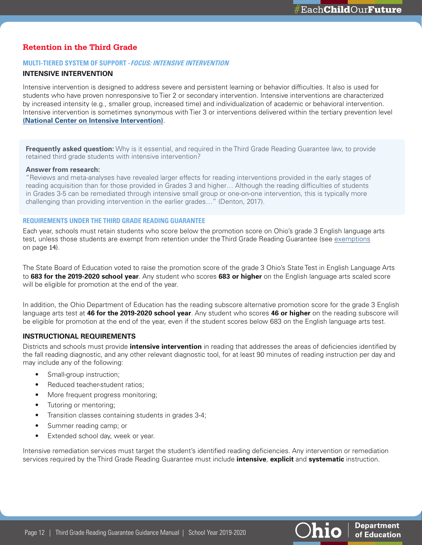# <span id="page-11-0"></span>**Retention in the Third Grade**

### **MULTI-TIERED SYSTEM OF SUPPORT - FOCUS: INTENSIVE INTERVENTION**

# **INTENSIVE INTERVENTION**

Intensive intervention is designed to address severe and persistent learning or behavior difficulties. It also is used for students who have proven nonresponsive to Tier 2 or secondary intervention. Intensive interventions are characterized by increased intensity (e.g., smaller group, increased time) and individualization of academic or behavioral intervention. Intensive intervention is sometimes synonymous with Tier 3 or interventions delivered within the tertiary prevention level **[\(National Center on Intensive Intervention\)](https://intensiveintervention.org/resource/self-paced-introduction-intensive-intervention)**.

<span id="page-11-1"></span>**Frequently asked question:** Why is it essential, and required in the Third Grade Reading Guarantee law, to provide retained third grade students with intensive intervention?

#### **Answer from research:**

"Reviews and meta-analyses have revealed larger effects for reading interventions provided in the early stages of reading acquisition than for those provided in Grades 3 and higher… Although the reading difficulties of students in Grades 3-5 can be remediated through intensive small group or one-on-one intervention, this is typically more challenging than providing intervention in the earlier grades…" (Denton, 2017).

#### **REQUIREMENTS UNDER THE THIRD GRADE READING GUARANTEE**

Each year, schools must retain students who score below the promotion score on Ohio's grade 3 English language arts test, unless those students are exempt from retention under the Third Grade Reading Guarantee (see [exemptions](#page-13-0) on page 14).

The State Board of Education voted to raise the promotion score of the grade 3 Ohio's State Test in English Language Arts to **683 for the 2019-2020 school year**. Any student who scores **683 or higher** on the English language arts scaled score will be eligible for promotion at the end of the year.

In addition, the Ohio Department of Education has the reading subscore alternative promotion score for the grade 3 English language arts test at **46 for the 2019-2020 school year**. Any student who scores **46 or higher** on the reading subscore will be eligible for promotion at the end of the year, even if the student scores below 683 on the English language arts test.

#### **INSTRUCTIONAL REQUIREMENTS**

Districts and schools must provide **intensive intervention** in reading that addresses the areas of deficiencies identified by the fall reading diagnostic, and any other relevant diagnostic tool, for at least 90 minutes of reading instruction per day and may include any of the following:

- Small-group instruction;
- Reduced teacher-student ratios;
- More frequent progress monitoring;
- Tutoring or mentoring;
- Transition classes containing students in grades 3-4;
- Summer reading camp; or
- Extended school day, week or year.

Intensive remediation services must target the student's identified reading deficiencies. Any intervention or remediation services required by the Third Grade Reading Guarantee must include **intensive**, **explicit** and **systematic** instruction.





**Department** 

of Education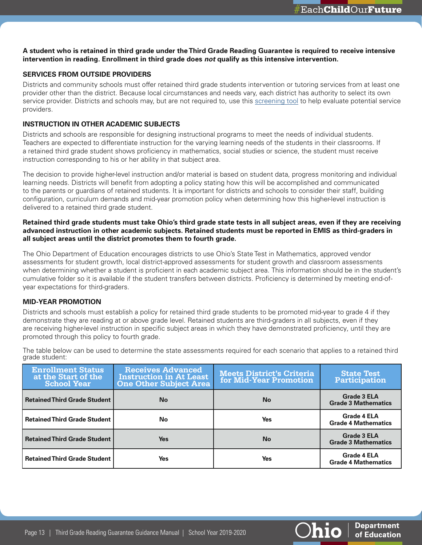### **A student who is retained in third grade under the Third Grade Reading Guarantee is required to receive intensive intervention in reading. Enrollment in third grade does** *not* **qualify as this intensive intervention.**

# **SERVICES FROM OUTSIDE PROVIDERS**

Districts and community schools must offer retained third grade students intervention or tutoring services from at least one provider other than the district. Because local circumstances and needs vary, each district has authority to select its own service provider. Districts and schools may, but are not required to, use this[screening tool](http://education.ohio.gov/getattachment/Topics/Early-Learning/Third-Grade-Reading-Guarantee/Third-Grade-Reading-Guarantee-District-Resources/Application-for-External-Service-Providers.docx.aspx) to help evaluate potential service providers.

# **INSTRUCTION IN OTHER ACADEMIC SUBJECTS**

Districts and schools are responsible for designing instructional programs to meet the needs of individual students. Teachers are expected to differentiate instruction for the varying learning needs of the students in their classrooms. If a retained third grade student shows proficiency in mathematics, social studies or science, the student must receive instruction corresponding to his or her ability in that subject area.

The decision to provide higher-level instruction and/or material is based on student data, progress monitoring and individual learning needs. Districts will benefit from adopting a policy stating how this will be accomplished and communicated to the parents or guardians of retained students. It is important for districts and schools to consider their staff, building configuration, curriculum demands and mid-year promotion policy when determining how this higher-level instruction is delivered to a retained third grade student.

# **Retained third grade students must take Ohio's third grade state tests in all subject areas, even if they are receiving advanced instruction in other academic subjects. Retained students must be reported in EMIS as third-graders in all subject areas until the district promotes them to fourth grade.**

The Ohio Department of Education encourages districts to use Ohio's State Test in Mathematics, approved vendor assessments for student growth, local district-approved assessments for student growth and classroom assessments when determining whether a student is proficient in each academic subject area. This information should be in the student's cumulative folder so it is available if the student transfers between districts. Proficiency is determined by meeting end-ofyear expectations for third-graders.

#### **MID-YEAR PROMOTION**

Districts and schools must establish a policy for retained third grade students to be promoted mid-year to grade 4 if they demonstrate they are reading at or above grade level. Retained students are third-graders in all subjects, even if they are receiving higher-level instruction in specific subject areas in which they have demonstrated proficiency, until they are promoted through this policy to fourth grade.

| <b>Enrollment Status</b><br>at the Start of the<br><b>School Year</b> | <b>Receives Advanced</b><br><b>Instruction in At Least</b><br><b>One Other Subject Area</b> | <b>Meets District's Criteria</b><br>for Mid-Year Promotion | <b>State Test</b><br>Participation               |
|-----------------------------------------------------------------------|---------------------------------------------------------------------------------------------|------------------------------------------------------------|--------------------------------------------------|
| <b>Retained Third Grade Student</b>                                   | <b>No</b>                                                                                   | No                                                         | <b>Grade 3 ELA</b><br><b>Grade 3 Mathematics</b> |
| <b>Retained Third Grade Student</b>                                   | No.                                                                                         | Yes                                                        | <b>Grade 4 ELA</b><br><b>Grade 4 Mathematics</b> |
| <b>Retained Third Grade Student</b>                                   | <b>Yes</b>                                                                                  | <b>No</b>                                                  | <b>Grade 3 ELA</b><br><b>Grade 3 Mathematics</b> |
| <b>Retained Third Grade Student</b>                                   | Yes                                                                                         | Yes                                                        | <b>Grade 4 ELA</b><br><b>Grade 4 Mathematics</b> |

The table below can be used to determine the state assessments required for each scenario that applies to a retained third grade student:

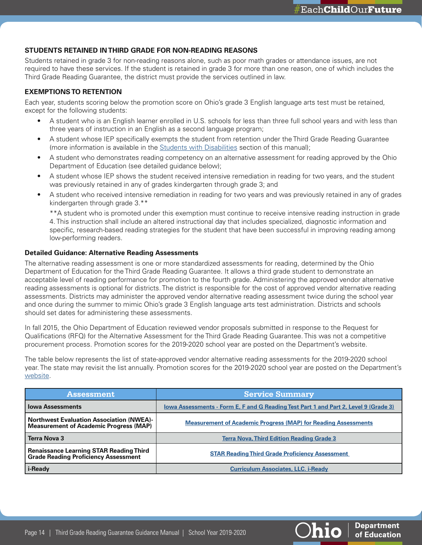### **STUDENTS RETAINED IN THIRD GRADE FOR NON-READING REASONS**

Students retained in grade 3 for non-reading reasons alone, such as poor math grades or attendance issues, are not required to have these services. If the student is retained in grade 3 for more than one reason, one of which includes the Third Grade Reading Guarantee, the district must provide the services outlined in law.

# <span id="page-13-0"></span>**EXEMPTIONS TO RETENTION**

Each year, students scoring below the promotion score on Ohio's grade 3 English language arts test must be retained, except for the following students:

- A student who is an English learner enrolled in U.S. schools for less than three full school years and with less than three years of instruction in an English as a second language program;
- A student whose IEP specifically exempts the student from retention under the Third Grade Reading Guarantee (more information is available in the [Students with Disabilities](#page-19-0) section of this manual);
- A student who demonstrates reading competency on an alternative assessment for reading approved by the Ohio Department of Education (see [detailed guidance](#page-13-1) below);
- A student whose IEP shows the student received intensive remediation in reading for two years, and the student was previously retained in any of grades kindergarten through grade 3; and
- A student who received intensive remediation in reading for two years and was previously retained in any of grades kindergarten through grade 3.\*\*

\*\*A student who is promoted under this exemption must continue to receive intensive reading instruction in grade 4. This instruction shall include an altered instructional day that includes specialized, diagnostic information and specific, research-based reading strategies for the student that have been successful in improving reading among low-performing readers.

#### <span id="page-13-1"></span>**Detailed Guidance: Alternative Reading Assessments**

The alternative reading assessment is one or more standardized assessments for reading, determined by the Ohio Department of Education for the Third Grade Reading Guarantee. It allows a third grade student to demonstrate an acceptable level of reading performance for promotion to the fourth grade. Administering the approved vendor alternative reading assessments is optional for districts. The district is responsible for the cost of approved vendor alternative reading assessments. Districts may administer the approved vendor alternative reading assessment twice during the school year and once during the summer to mimic Ohio's grade 3 English language arts test administration. Districts and schools should set dates for administering these assessments.

In fall 2015, the Ohio Department of Education reviewed vendor proposals submitted in response to the Request for Qualifications (RFQ) for the Alternative Assessment for the Third Grade Reading Guarantee. This was not a competitive procurement process. Promotion scores for the 2019-2020 school year are posted on the Department's website.

The table below represents the list of state-approved vendor alternative reading assessments for the 2019-2020 school year. The state may revisit the list annually. Promotion scores for the 2019-2020 school year are posted on the Department's [website](http://education.ohio.gov/Topics/Learning-in-Ohio/Literacy/Third-Grade-Reading-Guarantee/Third-Grade-Reading-Guarantee-District-Resources/Third-Grade-Alternative-Reading-Assessments).

| <b>Assessment</b>                                                                                | <b>Service Summary</b>                                                               |
|--------------------------------------------------------------------------------------------------|--------------------------------------------------------------------------------------|
| <b>Iowa Assessments</b>                                                                          | lowa Assessments - Form E, F and G Reading Test Part 1 and Part 2, Level 9 (Grade 3) |
| <b>Northwest Evaluation Association (NWEA)-</b><br><b>Measurement of Academic Progress (MAP)</b> | <b>Measurement of Academic Progress (MAP) for Reading Assessments</b>                |
| <b>Terra Nova 3</b>                                                                              | <b>Terra Nova, Third Edition Reading Grade 3</b>                                     |
| <b>Renaissance Learning STAR Reading Third</b><br><b>Grade Reading Proficiency Assessment</b>    | <b>STAR Reading Third Grade Proficiency Assessment</b>                               |
| i-Ready                                                                                          | <b>Curriculum Associates, LLC. i-Ready</b>                                           |



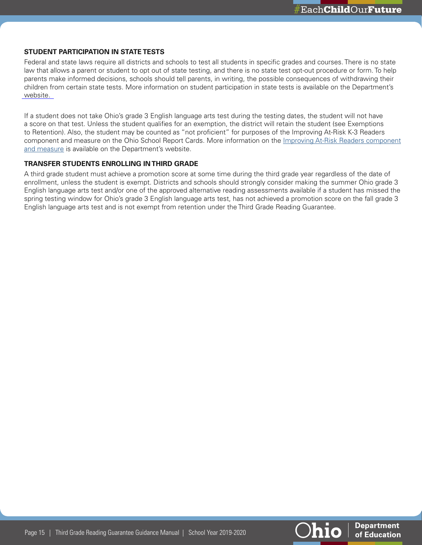#### **STUDENT PARTICIPATION IN STATE TESTS**

Federal and state laws require all districts and schools to test all students in specific grades and courses. There is no state law that allows a parent or student to opt out of state testing, and there is no state test opt-out procedure or form. To help parents make informed decisions, schools should tell parents, in writing, the possible consequences of withdrawing their children from certain state tests. More information on student participation in state tests is available on the Department's [website.](https://education.ohio.gov/getattachment/Topics/Testing/Sections/Resources/Student-participation.pdf.aspx) 

If a student does not take Ohio's grade 3 English language arts test during the testing dates, the student will not have a score on that test. Unless the student qualifies for an exemption, the district will retain the student (see Exemptions to Retention). Also, the student may be counted as "not proficient" for purposes of the Improving At-Risk K-3 Readers component and measure on the Ohio School Report Cards. More information on the [Improving At-Risk Readers component](http://education.ohio.gov/Topics/Data/Report-Card-Resources/Improving-At-Risk-K-3-Readers)  [and measure](http://education.ohio.gov/Topics/Data/Report-Card-Resources/Improving-At-Risk-K-3-Readers) is available on the Department's website.

#### **TRANSFER STUDENTS ENROLLING IN THIRD GRADE**

A third grade student must achieve a promotion score at some time during the third grade year regardless of the date of enrollment, unless the student is exempt. Districts and schools should strongly consider making the summer Ohio grade 3 English language arts test and/or one of the approved alternative reading assessments available if a student has missed the spring testing window for Ohio's grade 3 English language arts test, has not achieved a promotion score on the fall grade 3 English language arts test and is not exempt from retention under the Third Grade Reading Guarantee.



**Department** 

of Education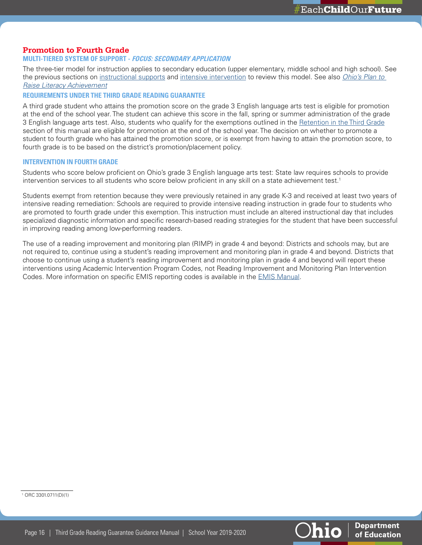# <span id="page-15-0"></span>**Promotion to Fourth Grade**

#### **MULTI-TIERED SYSTEM OF SUPPORT - FOCUS: SECONDARY APPLICATION**

The three-tier model for instruction applies to secondary education (upper elementary, middle school and high school). See the previous sections on [instructional supports](#page-8-0) and [intensive intervention](#page-11-0) to review this model. See also *[Ohio's Plan to](http://education.ohio.gov/getattachment/Topics/Learning-in-Ohio/Literacy/Ohios-Plan-to-Raise-Literacy-Achievement.pdf.aspx?lang=en-US)  [Raise Literacy Achievement](http://education.ohio.gov/getattachment/Topics/Learning-in-Ohio/Literacy/Ohios-Plan-to-Raise-Literacy-Achievement.pdf.aspx?lang=en-US)*

#### **REQUIREMENTS UNDER THE THIRD GRADE READING GUARANTEE**

A third grade student who attains the promotion score on the grade 3 English language arts test is eligible for promotion at the end of the school year. The student can achieve this score in the fall, spring or summer administration of the grade 3 English language arts test. Also, students who qualify for the exemptions outlined in the [Retention in the Third Grade](#page-11-0) section of this manual are eligible for promotion at the end of the school year. The decision on whether to promote a student to fourth grade who has attained the promotion score, or is exempt from having to attain the promotion score, to fourth grade is to be based on the district's promotion/placement policy.

#### **INTERVENTION IN FOURTH GRADE**

Students who score below proficient on Ohio's grade 3 English language arts test: State law requires schools to provide intervention services to all students who score below proficient in any skill on a state achievement test.<sup>1</sup>

Students exempt from retention because they were previously retained in any grade K-3 and received at least two years of intensive reading remediation: Schools are required to provide intensive reading instruction in grade four to students who are promoted to fourth grade under this exemption. This instruction must include an altered instructional day that includes specialized diagnostic information and specific research-based reading strategies for the student that have been successful in improving reading among low-performing readers.

The use of a reading improvement and monitoring plan (RIMP) in grade 4 and beyond: Districts and schools may, but are not required to, continue using a student's reading improvement and monitoring plan in grade 4 and beyond. Districts that choose to continue using a student's reading improvement and monitoring plan in grade 4 and beyond will report these interventions using Academic Intervention Program Codes, not Reading Improvement and Monitoring Plan Intervention Codes. More information on specific EMIS reporting codes is available in the [EMIS Manual.](http://education.ohio.gov/Topics/Data/EMIS/EMIS-Documentation/Current-EMIS-Manual)

1 ORC 3301.0711(D)(1)



**Department** 

of Education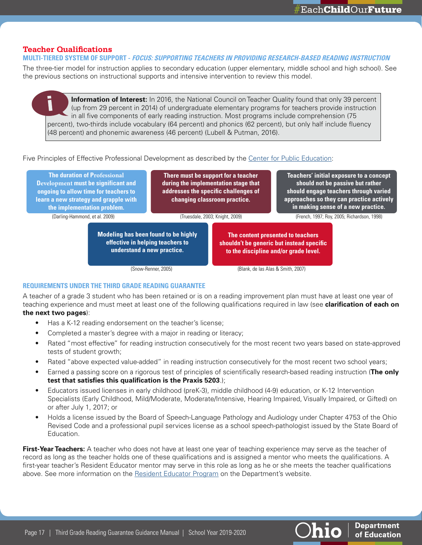**Department** of Education

# <span id="page-16-0"></span>**Teacher Qualifications**

#### **MULTI-TIERED SYSTEM OF SUPPORT - FOCUS: SUPPORTING TEACHERS IN PROVIDING RESEARCH-BASED READING INSTRUCTION**

The three-tier model for instruction applies to secondary education (upper elementary, middle school and high school). See the previous sections on instructional supports and intensive intervention to review this model.

**Information of Interest:** In 2016, the National Council on Teacher Quality found that only 39 percent (up from 29 percent in 2014) of undergraduate elementary programs for teachers provide instruction in all five components of early reading instruction. Most programs include comprehension (75 percent), two-thirds include vocabulary (64 percent) and phonics (62 percent), but only half include fluency (48 percent) and phonemic awareness (46 percent) (Lubell & Putman, 2016).

Five Principles of Effective Professional Development as described by the[Center for Public Education](http://www.centerforpubliceducation.org/research/teaching-teachers-effective-professional-development)[:](https://www.nsba.org/Services/Center-for-Public-Education)

| <b>The duration of Professional</b><br>Development must be significant and<br>ongoing to allow time for teachers to<br>learn a new strategy and grapple with<br>the implementation problem. |                                                                                                               | There must be support for a teacher<br>during the implementation stage that<br>addresses the specific challenges of<br>changing classroom practice. |                                    | Teachers' initial exposure to a concept<br>should not be passive but rather<br>should engage teachers through varied<br>approaches so they can practice actively<br>in making sense of a new practice. |                                             |
|---------------------------------------------------------------------------------------------------------------------------------------------------------------------------------------------|---------------------------------------------------------------------------------------------------------------|-----------------------------------------------------------------------------------------------------------------------------------------------------|------------------------------------|--------------------------------------------------------------------------------------------------------------------------------------------------------------------------------------------------------|---------------------------------------------|
| (Darling-Hammond, et al. 2009)                                                                                                                                                              |                                                                                                               |                                                                                                                                                     | (Truesdale, 2003; Knight, 2009)    |                                                                                                                                                                                                        | (French, 1997; Roy, 2005; Richardson, 1998) |
|                                                                                                                                                                                             | <b>Modeling has been found to be highly</b><br>effective in helping teachers to<br>understand a new practice. |                                                                                                                                                     |                                    | The content presented to teachers<br>shouldn't be generic but instead specific<br>to the discipline and/or grade level.                                                                                |                                             |
|                                                                                                                                                                                             |                                                                                                               | (Snow-Renner, 2005)                                                                                                                                 | (Blank, de las Alas & Smith, 2007) |                                                                                                                                                                                                        |                                             |

# **REQUIREMENTS UNDER THE THIRD GRADE READING GUARANTEE**

A teacher of a grade 3 student who has been retained or is on a reading improvement plan must have at least one year of teaching experience and must meet at least one of the following qualifications required in law (see **clarification of each on the next two pages**):

- Has a K-12 reading endorsement on the teacher's license;
- Completed a master's degree with a major in reading or literacy;
- Rated "most effective" for reading instruction consecutively for the most recent two years based on state-approved tests of student growth;
- Rated "above expected value-added" in reading instruction consecutively for the most recent two school years;
- Earned a passing score on a rigorous test of principles of scientifically research-based reading instruction (**The only test that satisfies this qualification is the Praxis 5203**.);
- Educators issued licenses in early childhood (preK-3), middle childhood (4-9) education, or K-12 Intervention Specialists (Early Childhood, Mild/Moderate, Moderate/Intensive, Hearing Impaired, Visually Impaired, or Gifted) on or after July 1, 2017; or
- Holds a license issued by the Board of Speech-Language Pathology and Audiology under Chapter 4753 of the Ohio Revised Code and a professional pupil services license as a school speech-pathologist issued by the State Board of Education.

**First-Year Teachers:** A teacher who does not have at least one year of teaching experience may serve as the teacher of record as long as the teacher holds one of these qualifications and is assigned a mentor who meets the qualifications. A first-year teacher's Resident Educator mentor may serve in this role as long as he or she meets the teacher qualifications above. See more information on the [Resident Educator Program](http://education.ohio.gov/Topics/Teaching/Resident-Educator-Program) on the Department's website.

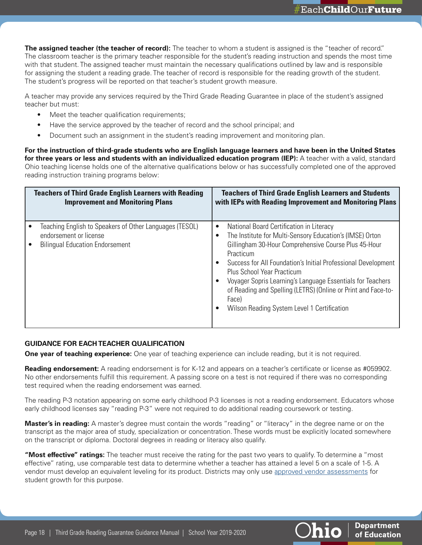**The assigned teacher (the teacher of record):** The teacher to whom a student is assigned is the "teacher of record." The classroom teacher is the primary teacher responsible for the student's reading instruction and spends the most time with that student. The assigned teacher must maintain the necessary qualifications outlined by law and is responsible for assigning the student a reading grade. The teacher of record is responsible for the reading growth of the student. The student's progress will be reported on that teacher's student growth measure.

A teacher may provide any services required by the Third Grade Reading Guarantee in place of the student's assigned teacher but must:

- Meet the teacher qualification requirements;
- Have the service approved by the teacher of record and the school principal; and
- Document such an assignment in the student's reading improvement and monitoring plan.

**For the instruction of third-grade students who are English language learners and have been in the United States**  for three years or less and students with an individualized education program (IEP): A teacher with a valid, standard Ohio teaching license holds one of the alternative qualifications below or has successfully completed one of the approved reading instruction training programs below:

| <b>Teachers of Third Grade English Learners with Reading</b>                                                                | <b>Teachers of Third Grade English Learners and Students</b>                                                                                                                                                                                                                                                                                                                                                                                                                                                                            |
|-----------------------------------------------------------------------------------------------------------------------------|-----------------------------------------------------------------------------------------------------------------------------------------------------------------------------------------------------------------------------------------------------------------------------------------------------------------------------------------------------------------------------------------------------------------------------------------------------------------------------------------------------------------------------------------|
| <b>Improvement and Monitoring Plans</b>                                                                                     | with IEPs with Reading Improvement and Monitoring Plans                                                                                                                                                                                                                                                                                                                                                                                                                                                                                 |
| Teaching English to Speakers of Other Languages (TESOL)<br>endorsement or license<br><b>Bilingual Education Endorsement</b> | National Board Certification in Literacy<br>$\bullet$<br>The Institute for Multi-Sensory Education's (IMSE) Orton<br>$\bullet$<br>Gillingham 30-Hour Comprehensive Course Plus 45-Hour<br>Practicum<br>Success for All Foundation's Initial Professional Development<br>$\bullet$<br><b>Plus School Year Practicum</b><br>Voyager Sopris Learning's Language Essentials for Teachers<br>$\bullet$<br>of Reading and Spelling (LETRS) (Online or Print and Face-to-<br>Face)<br>Wilson Reading System Level 1 Certification<br>$\bullet$ |

# **GUIDANCE FOR EACH TEACHER QUALIFICATION**

**One year of teaching experience:** One year of teaching experience can include reading, but it is not required.

**Reading endorsement:** A reading endorsement is for K-12 and appears on a teacher's certificate or license as #059902. No other endorsements fulfill this requirement. A passing score on a test is not required if there was no corresponding test required when the reading endorsement was earned.

The reading P-3 notation appearing on some early childhood P-3 licenses is not a reading endorsement. Educators whose early childhood licenses say "reading P-3" were not required to do additional reading coursework or testing.

**Master's in reading:** A master's degree must contain the words "reading" or "literacy" in the degree name or on the transcript as the major area of study, specialization or concentration. These words must be explicitly located somewhere on the transcript or diploma. Doctoral degrees in reading or literacy also qualify.

**"Most effective" ratings:** The teacher must receive the rating for the past two years to qualify. To determine a "most effective" rating, use comparable test data to determine whether a teacher has attained a level 5 on a scale of 1-5. A vendor must develop an equivalent leveling for its product. Districts may only use [approved vendor assessments](http://education.ohio.gov/Topics/Teaching/Educator-Evaluation-System/Ohio-s-Teacher-Evaluation-System/Student-Growth-Measures/Approved-List-of-Assessments) for student growth for this purpose.

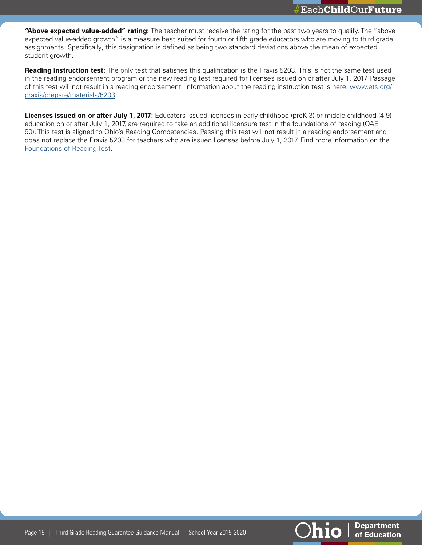**"Above expected value-added" rating:** The teacher must receive the rating for the past two years to qualify. The "above expected value-added growth" is a measure best suited for fourth or fifth grade educators who are moving to third grade assignments. Specifically, this designation is defined as being two standard deviations above the mean of expected student growth.

**Reading instruction test:** The only test that satisfies this qualification is the Praxis 5203. This is not the same test used in the reading endorsement program or the new reading test required for licenses issued on or after July 1, 2017. Passage of this test will not result in a reading endorsement. Information about the reading instruction test is here: [www.ets.org/](https://www.ets.org/praxis/prepare/materials/5203) [praxis/prepare/materials/5203](https://www.ets.org/praxis/prepare/materials/5203)

**Licenses issued on or after July 1, 2017:** Educators issued licenses in early childhood (preK-3) or middle childhood (4-9) education on or after July 1, 2017, are required to take an additional licensure test in the foundations of reading (OAE 90). This test is aligned to Ohio's Reading Competencies. Passing this test will not result in a reading endorsement and does not replace the Praxis 5203 for teachers who are issued licenses before July 1, 2017. Find more information on the [Foundations of Reading Test](http://education.ohio.gov/Topics/Teaching/Licensure/Prepare-for-Certificate-License/FAQs-about-Foundations-of-Reading-Test-Requirement).

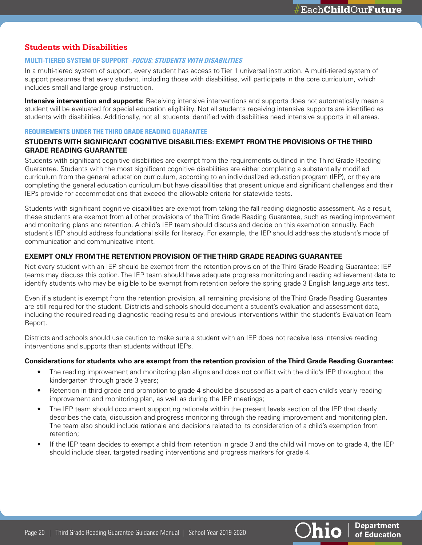# <span id="page-19-0"></span>**Students with Disabilities**

#### **MULTI-TIERED SYSTEM OF SUPPORT - FOCUS: STUDENTS WITH DISABILITIES**

In a multi-tiered system of support, every student has access to Tier 1 universal instruction. A multi-tiered system of support presumes that every student, including those with disabilities, will participate in the core curriculum, which includes small and large group instruction.

**Intensive intervention and supports:** Receiving intensive interventions and supports does not automatically mean a student will be evaluated for special education eligibility. Not all students receiving intensive supports are identified as students with disabilities. Additionally, not all students identified with disabilities need intensive supports in all areas.

#### **REQUIREMENTS UNDER THE THIRD GRADE READING GUARANTEE**

# **STUDENTS WITH SIGNIFICANT COGNITIVE DISABILITIES: EXEMPT FROM THE PROVISIONS OF THE THIRD GRADE READING GUARANTEE**

Students with significant cognitive disabilities are exempt from the requirements outlined in the Third Grade Reading Guarantee. Students with the most significant cognitive disabilities are either completing a substantially modified curriculum from the general education curriculum, according to an individualized education program (IEP), or they are completing the general education curriculum but have disabilities that present unique and significant challenges and their IEPs provide for accommodations that exceed the allowable criteria for statewide tests.

Students with significant cognitive disabilities are exempt from taking the fall reading diagnostic assessment. As a result, these students are exempt from all other provisions of the Third Grade Reading Guarantee, such as reading improvement and monitoring plans and retention. A child's IEP team should discuss and decide on this exemption annually. Each student's IEP should address foundational skills for literacy. For example, the IEP should address the student's mode of communication and communicative intent.

### **EXEMPT ONLY FROM THE RETENTION PROVISION OF THE THIRD GRADE READING GUARANTEE**

Not every student with an IEP should be exempt from the retention provision of the Third Grade Reading Guarantee; IEP teams may discuss this option. The IEP team should have adequate progress monitoring and reading achievement data to identify students who may be eligible to be exempt from retention before the spring grade 3 English language arts test.

Even if a student is exempt from the retention provision, all remaining provisions of the Third Grade Reading Guarantee are still required for the student. Districts and schools should document a student's evaluation and assessment data, including the required reading diagnostic reading results and previous interventions within the student's Evaluation Team Report.

Districts and schools should use caution to make sure a student with an IEP does not receive less intensive reading interventions and supports than students without IEPs.

#### **Considerations for students who are exempt from the retention provision of the Third Grade Reading Guarantee:**

- The reading improvement and monitoring plan aligns and does not conflict with the child's IEP throughout the kindergarten through grade 3 years;
- Retention in third grade and promotion to grade 4 should be discussed as a part of each child's yearly reading improvement and monitoring plan, as well as during the IEP meetings;
- The IEP team should document supporting rationale within the present levels section of the IEP that clearly describes the data, discussion and progress monitoring through the reading improvement and monitoring plan. The team also should include rationale and decisions related to its consideration of a child's exemption from retention;
- If the IEP team decides to exempt a child from retention in grade 3 and the child will move on to grade 4, the IEP should include clear, targeted reading interventions and progress markers for grade 4.

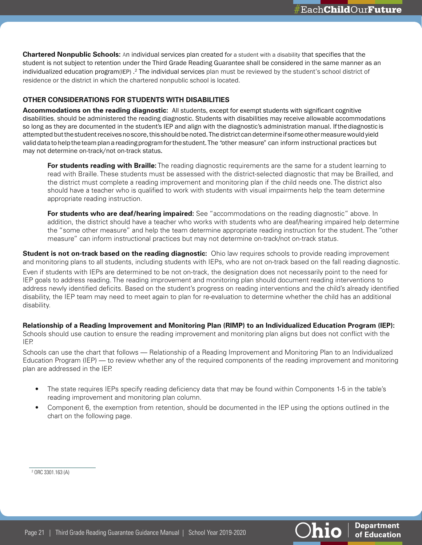**Department** 

of Education

**hio** 

**Chartered Nonpublic Schools:** An individual services plan created for a student with a disability that specifies that the student is not subject to retention under the Third Grade Reading Guarantee shall be considered in the same manner as an individualized education program(IEP) . <sup>2</sup> The individual services plan must be reviewed by the student's school district of residence or the district in which the chartered nonpublic school is located.

# **OTHER CONSIDERATIONS FOR STUDENTS WITH DISABILITIES**

**Accommodations on the reading diagnostic:** All students, except for exempt students with significant cognitive disabilities, should be administered the reading diagnostic. Students with disabilities may receive allowable accommodations so long as they are documented in the student's IEP and align with the diagnostic's administration manual. If the diagnostic is attempted but the student receives no score, this should be noted. The district can determine if some other measure would yield valid data to help the team plan a reading program for the student. The "other measure" can inform instructional practices but may not determine on-track/not on-track status.

**For students reading with Braille:** The reading diagnostic requirements are the same for a student learning to read with Braille. These students must be assessed with the district-selected diagnostic that may be Brailled, and the district must complete a reading improvement and monitoring plan if the child needs one. The district also should have a teacher who is qualified to work with students with visual impairments help the team determine appropriate reading instruction.

**For students who are deaf/hearing impaired:** See "accommodations on the reading diagnostic" above. In addition, the district should have a teacher who works with students who are deaf/hearing impaired help determine the "some other measure" and help the team determine appropriate reading instruction for the student. The "other measure" can inform instructional practices but may not determine on-track/not on-track status.

**Student is not on-track based on the reading diagnostic:** Ohio law requires schools to provide reading improvement and monitoring plans to all students, including students with IEPs, who are not on-track based on the fall reading diagnostic.

Even if students with IEPs are determined to be not on-track, the designation does not necessarily point to the need for IEP goals to address reading. The reading improvement and monitoring plan should document reading interventions to address newly identified deficits. Based on the student's progress on reading interventions and the child's already identified disability, the IEP team may need to meet again to plan for re-evaluation to determine whether the child has an additional disability.

**Relationship of a Reading Improvement and Monitoring Plan (RIMP) to an Individualized Education Program (IEP):**  Schools should use caution to ensure the reading improvement and monitoring plan aligns but does not conflict with the IEP.

Schools can use the chart that follows — Relationship of a Reading Improvement and Monitoring Plan to an Individualized Education Program (IEP) — to review whether any of the required components of the reading improvement and monitoring plan are addressed in the IEP.

- The state requires IEPs specify reading deficiency data that may be found within Components 1-5 in the table's reading improvement and monitoring plan column.
- Component 6, the exemption from retention, should be documented in the IEP using the options outlined in the chart on the following page.

 $2$  [ORC 3301.163 \(A\)](http://codes.ohio.gov/orc/3301.163)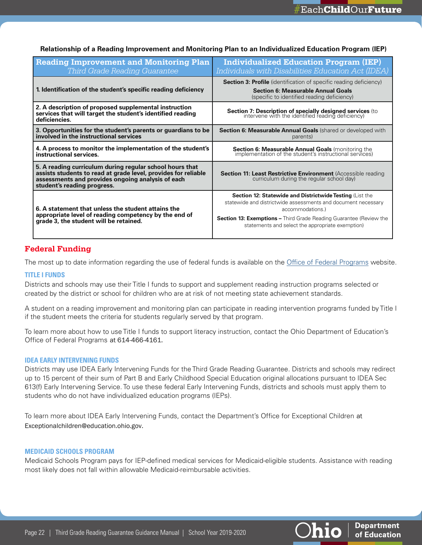| <b>Reading Improvement and Monitoring Plan</b><br>Third Grade Reading Guarantee                                                                                                                                | <b>Individualized Education Program (IEP)</b><br>Individuals with Disabilities Education Act (IDEA)                                                                                                                                                                                   |
|----------------------------------------------------------------------------------------------------------------------------------------------------------------------------------------------------------------|---------------------------------------------------------------------------------------------------------------------------------------------------------------------------------------------------------------------------------------------------------------------------------------|
| 1. Identification of the student's specific reading deficiency                                                                                                                                                 | <b>Section 3: Profile</b> (identification of specific reading deficiency)<br><b>Section 6: Measurable Annual Goals</b><br>(specific to identified reading deficiency)                                                                                                                 |
| 2. A description of proposed supplemental instruction<br>services that will target the student's identified reading<br>deficiencies.                                                                           | <b>Section 7: Description of specially designed services</b> (to intervene with the identified reading deficiency)                                                                                                                                                                    |
| 3. Opportunities for the student's parents or guardians to be<br>involved in the instructional services                                                                                                        | <b>Section 6: Measurable Annual Goals (shared or developed with</b><br>parents)                                                                                                                                                                                                       |
| 4. A process to monitor the implementation of the student's<br>instructional services.                                                                                                                         | <b>Section 6: Measurable Annual Goals</b> (monitoring the implementation of the student's instructional services)                                                                                                                                                                     |
| 5. A reading curriculum during regular school hours that<br>assists students to read at grade level, provides for reliable<br>assessments and provides ongoing analysis of each<br>student's reading progress. | <b>Section 11: Least Restrictive Environment</b> (Accessible reading curriculum during the regular school day)                                                                                                                                                                        |
| 6. A statement that unless the student attains the<br>appropriate level of reading competency by the end of<br>grade 3, the student will be retained.                                                          | <b>Section 12: Statewide and Districtwide Testing (List the</b><br>statewide and districtwide assessments and document necessary<br>accommodations.)<br><b>Section 13: Exemptions - Third Grade Reading Guarantee (Review the</b><br>statements and select the appropriate exemption) |

#### <span id="page-21-0"></span>**Relationship of a Reading Improvement and Monitoring Plan to an Individualized Education Program (IEP)**

# **Federal Funding**

The most up to date information regarding the use of federal funds is available on the [Office of Federal Programs](http://education.ohio.gov/Topics/District-and-School-Continuous-Improvement/Federal-Programs) website.

#### **TITLE I FUNDS**

Districts and schools may use their Title I funds to support and supplement reading instruction programs selected or created by the district or school for children who are at risk of not meeting state achievement standards.

A student on a reading improvement and monitoring plan can participate in reading intervention programs funded by Title I if the student meets the criteria for students regularly served by that program.

To learn more about how to use Title I funds to support literacy instruction, contact the Ohio Department of Education's Office of Federal Programs at 614-466-4161.

#### **IDEA EARLY INTERVENING FUNDS**

Districts may use IDEA Early Intervening Funds for the Third Grade Reading Guarantee. Districts and schools may redirect up to 15 percent of their sum of Part B and Early Childhood Special Education original allocations pursuant to IDEA Sec 613(f) Early Intervening Service. To use these federal Early Intervening Funds, districts and schools must apply them to students who do not have individualized education programs (IEPs).

To learn more about IDEA Early Intervening Funds, contact the Department's Office for Exceptional Children at Exceptionalchildren@education.ohio.gov.

#### **MEDICAID SCHOOLS PROGRAM**

Medicaid Schools Program pays for IEP-defined medical services for Medicaid-eligible students. Assistance with reading most likely does not fall within allowable Medicaid-reimbursable activities.



**Department** of Education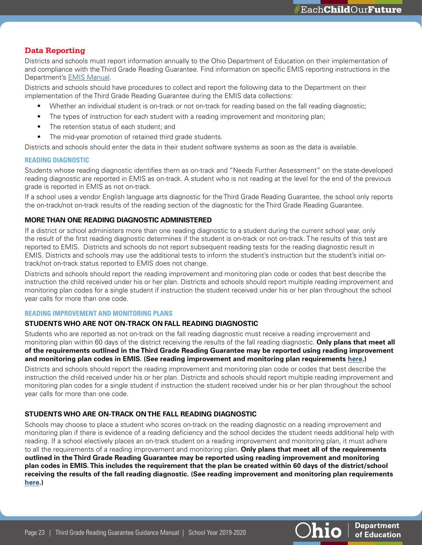**Department** 

of Education

**hio** 

# <span id="page-22-0"></span>**Data Reporting**

Districts and schools must report information annually to the Ohio Department of Education on their implementation of and compliance with the Third Grade Reading Guarantee. Find information on specific EMIS reporting instructions in the Department's [EMIS Manual.](http://education.ohio.gov/Topics/Data/EMIS/EMIS-Documentation/Current-EMIS-Manual)

Districts and schools should have procedures to collect and report the following data to the Department on their implementation of the Third Grade Reading Guarantee during the EMIS data collections:

- Whether an individual student is on-track or not on-track for reading based on the fall reading diagnostic;
- The types of instruction for each student with a reading improvement and monitoring plan;
- The retention status of each student; and
- The mid-year promotion of retained third grade students.

Districts and schools should enter the data in their student software systems as soon as the data is available.

### **READING DIAGNOSTIC**

Students whose reading diagnostic identifies them as on-track and "Needs Further Assessment" on the state-developed reading diagnostic are reported in EMIS as on-track. A student who is not reading at the level for the end of the previous grade is reported in EMIS as not on-track.

If a school uses a vendor English language arts diagnostic for the Third Grade Reading Guarantee, the school only reports the on-track/not on-track results of the reading section of the diagnostic for the Third Grade Reading Guarantee.

# **MORE THAN ONE READING DIAGNOSTIC ADMINISTERED**

If a district or school administers more than one reading diagnostic to a student during the current school year, only the result of the first reading diagnostic determines if the student is on-track or not on-track. The results of this test are reported to EMIS. Districts and schools do not report subsequent reading tests for the reading diagnostic result in EMIS. Districts and schools may use the additional tests to inform the student's instruction but the student's initial ontrack/not on-track status reported to EMIS does not change.

Districts and schools should report the reading improvement and monitoring plan code or codes that best describe the instruction the child received under his or her plan. Districts and schools should report multiple reading improvement and monitoring plan codes for a single student if instruction the student received under his or her plan throughout the school year calls for more than one code.

#### **READING IMPROVEMENT AND MONITORING PLANS**

#### **STUDENTS WHO ARE NOT ON-TRACK ON FALL READING DIAGNOSTIC**

Students who are reported as not on-track on the fall reading diagnostic must receive a reading improvement and monitoring plan within 60 days of the district receiving the results of the fall reading diagnostic. **Only plans that meet all of the requirements outlined in the Third Grade Reading Guarantee may be reported using reading improvement and monitoring plan codes in EMIS. (See reading improvement and monitoring plan requirements [here.](http://education.ohio.gov/Topics/Learning-in-Ohio/Literacy/Third-Grade-Reading-Guarantee/Third-Grade-Reading-Guarantee-FAQs))** 

Districts and schools should report the reading improvement and monitoring plan code or codes that best describe the instruction the child received under his or her plan. Districts and schools should report multiple reading improvement and monitoring plan codes for a single student if instruction the student received under his or her plan throughout the school year calls for more than one code.

# **STUDENTS WHO ARE ON-TRACK ON THE FALL READING DIAGNOSTIC**

Schools may choose to place a student who scores on-track on the reading diagnostic on a reading improvement and monitoring plan if there is evidence of a reading deficiency and the school decides the student needs additional help with reading. If a school electively places an on-track student on a reading improvement and monitoring plan, it must adhere to all the requirements of a reading improvement and monitoring plan. **Only plans that meet all of the requirements outlined in the Third Grade Reading Guarantee may be reported using reading improvement and monitoring plan codes in EMIS. This includes the requirement that the plan be created within 60 days of the district/school receiving the results of the fall reading diagnostic. (See reading improvement and monitoring plan requirements [here](http://education.ohio.gov/Topics/Learning-in-Ohio/Literacy/Third-Grade-Reading-Guarantee/Third-Grade-Reading-Guarantee-FAQs).)** 

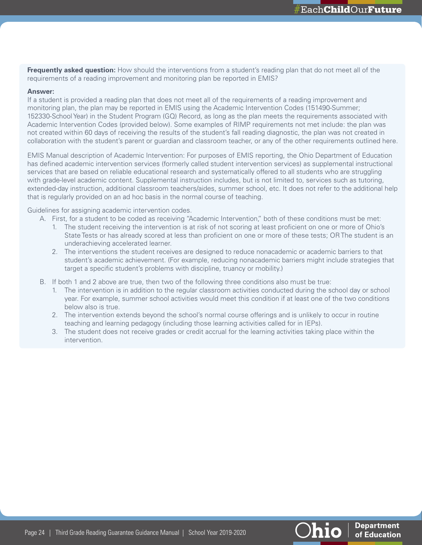<span id="page-23-0"></span>**Frequently asked question:** How should the interventions from a student's reading plan that do not meet all of the requirements of a reading improvement and monitoring plan be reported in EMIS?

#### **Answer:**

If a student is provided a reading plan that does not meet all of the requirements of a reading improvement and monitoring plan, the plan may be reported in EMIS using the Academic Intervention Codes (151490-Summer; 152330-School Year) in the Student Program (GQ) Record, as long as the plan meets the requirements associated with Academic Intervention Codes (provided below). Some examples of RIMP requirements not met include: the plan was not created within 60 days of receiving the results of the student's fall reading diagnostic, the plan was not created in collaboration with the student's parent or guardian and classroom teacher, or any of the other requirements outlined here.

EMIS Manual description of Academic Intervention: For purposes of EMIS reporting, the Ohio Department of Education has defined academic intervention services (formerly called student intervention services) as supplemental instructional services that are based on reliable educational research and systematically offered to all students who are struggling with grade-level academic content. Supplemental instruction includes, but is not limited to, services such as tutoring, extended-day instruction, additional classroom teachers/aides, summer school, etc. It does not refer to the additional help that is regularly provided on an ad hoc basis in the normal course of teaching.

Guidelines for assigning academic intervention codes.

- A. First, for a student to be coded as receiving "Academic Intervention," both of these conditions must be met:
	- 1. The student receiving the intervention is at risk of not scoring at least proficient on one or more of Ohio's State Tests or has already scored at less than proficient on one or more of these tests; OR The student is an underachieving accelerated learner.
	- 2. The interventions the student receives are designed to reduce nonacademic or academic barriers to that student's academic achievement. (For example, reducing nonacademic barriers might include strategies that target a specific student's problems with discipline, truancy or mobility.)
- B. If both 1 and 2 above are true, then two of the following three conditions also must be true:
	- 1. The intervention is in addition to the regular classroom activities conducted during the school day or school year. For example, summer school activities would meet this condition if at least one of the two conditions below also is true.
	- 2. The intervention extends beyond the school's normal course offerings and is unlikely to occur in routine teaching and learning pedagogy (including those learning activities called for in IEPs).
	- 3. The student does not receive grades or credit accrual for the learning activities taking place within the intervention.



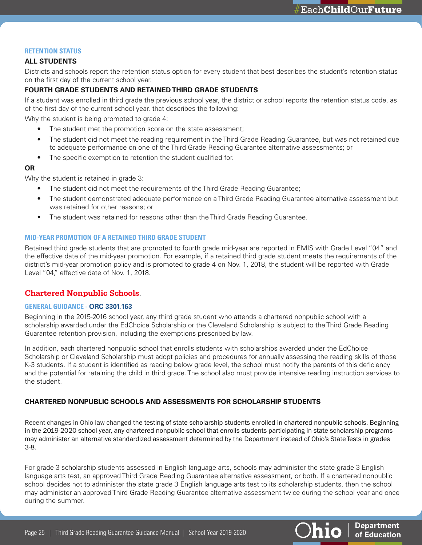**Department** 

of Education

hio.

#### <span id="page-24-0"></span>**RETENTION STATUS**

#### **ALL STUDENTS**

Districts and schools report the retention status option for every student that best describes the student's retention status on the first day of the current school year.

# **FOURTH GRADE STUDENTS AND RETAINED THIRD GRADE STUDENTS**

If a student was enrolled in third grade the previous school year, the district or school reports the retention status code, as of the first day of the current school year, that describes the following:

Why the student is being promoted to grade 4:

- The student met the promotion score on the state assessment;
- The student did not meet the reading requirement in the Third Grade Reading Guarantee, but was not retained due to adequate performance on one of the Third Grade Reading Guarantee alternative assessments; or
- The specific exemption to retention the student qualified for.

#### **OR**

Why the student is retained in grade 3:

- The student did not meet the requirements of the Third Grade Reading Guarantee;
- The student demonstrated adequate performance on a Third Grade Reading Guarantee alternative assessment but was retained for other reasons; or
- The student was retained for reasons other than the Third Grade Reading Guarantee.

#### **MID-YEAR PROMOTION OF A RETAINED THIRD GRADE STUDENT**

Retained third grade students that are promoted to fourth grade mid-year are reported in EMIS with Grade Level "04" and the effective date of the mid-year promotion. For example, if a retained third grade student meets the requirements of the district's mid-year promotion policy and is promoted to grade 4 on Nov. 1, 2018, the student will be reported with Grade Level "04," effective date of Nov. 1, 2018.

# **Chartered Nonpublic Schools**.

#### **GENERAL GUIDANCE - [ORC 3301.163](http://codes.ohio.gov/orc/3301.163)**

Beginning in the 2015-2016 school year, any third grade student who attends a chartered nonpublic school with a scholarship awarded under the EdChoice Scholarship or the Cleveland Scholarship is subject to the Third Grade Reading Guarantee retention provision, including the exemptions prescribed by law.

In addition, each chartered nonpublic school that enrolls students with scholarships awarded under the EdChoice Scholarship or Cleveland Scholarship must adopt policies and procedures for annually assessing the reading skills of those K-3 students. If a student is identified as reading below grade level, the school must notify the parents of this deficiency and the potential for retaining the child in third grade. The school also must provide intensive reading instruction services to the student.

#### **CHARTERED NONPUBLIC SCHOOLS AND ASSESSMENTS FOR SCHOLARSHIP STUDENTS**

Recent changes in Ohio law changed the testing of state scholarship students enrolled in chartered nonpublic schools. Beginning in the 2019-2020 school year, any chartered nonpublic school that enrolls students participating in state scholarship programs may administer an alternative standardized assessment determined by the Department instead of Ohio's State Tests in grades 3-8.

For grade 3 scholarship students assessed in English language arts, schools may administer the state grade 3 English language arts test, an approved Third Grade Reading Guarantee alternative assessment, or both. If a chartered nonpublic school decides not to administer the state grade 3 English language arts test to its scholarship students, then the school may administer an approved Third Grade Reading Guarantee alternative assessment twice during the school year and once during the summer.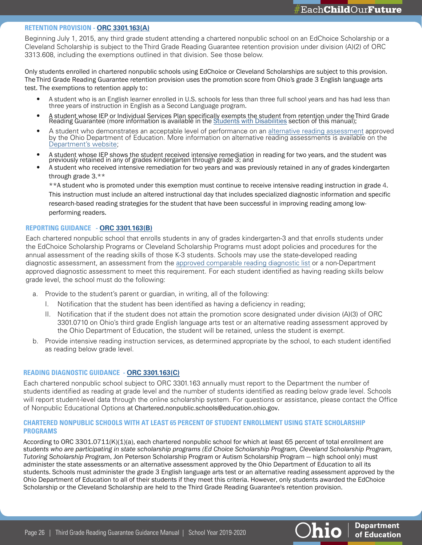#### **RETENTION PROVISION - [ORC 3301.163\(A\)](http://codes.ohio.gov/orc/3301.163)**

Beginning July 1, 2015, any third grade student attending a chartered nonpublic school on an EdChoice Scholarship or a Cleveland Scholarship is subject to the Third Grade Reading Guarantee retention provision under division (A)(2) of ORC 3313.608, including the exemptions outlined in that division. See those below.

Only students enrolled in chartered nonpublic schools using EdChoice or Cleveland Scholarships are subject to this provision. The Third Grade Reading Guarantee retention provision uses the promotion score from Ohio's grade 3 English language arts test. The exemptions to retention apply to:

- A student who is an English learner enrolled in U.S. schools for less than three full school years and has had less than three years of instruction in English as a Second Language program.
- A student whose IEP or Individual Services Plan specifically exempts the student from retention under the Third Grade<br>Reading Guarantee (more information is available in the [Students with Disabilities](#page-19-0) section of this man
- A student who demonstrates an acceptable level of performance on an [alternative reading assessment](http://education.ohio.gov/Topics/Learning-in-Ohio/Literacy/Third-Grade-Reading-Guarantee/Third-Grade-Reading-Guarantee-District-Resources/Third-Grade-Alternative-Reading-Assessments) approved by the Ohio Department of Education. More information on alternative reading assessments is available on the [Department's website;](http://education.ohio.gov/Topics/Learning-in-Ohio/Literacy/Third-Grade-Reading-Guarantee/Third-Grade-Reading-Guarantee-District-Resources/Third-Grade-Alternative-Reading-Assessments)
- A student whose IEP shows the student received intensive remediation in reading for two years, and the student was previously retained in any of grades kindergarten through grade 3; and
- A student who received intensive remediation for two years and was previously retained in any of grades kindergarten through grade 3.\*\*

\*\*A student who is promoted under this exemption must continue to receive intensive reading instruction in grade 4. This instruction must include an altered instructional day that includes specialized diagnostic information and specific research-based reading strategies for the student that have been successful in improving reading among lowperforming readers.

## **REPORTING GUIDANCE - [ORC 3301.163\(B\)](http://codes.ohio.gov/orc/3301.163)**

Each chartered nonpublic school that enrolls students in any of grades kindergarten-3 and that enrolls students under the EdChoice Scholarship Programs or Cleveland Scholarship Programs must adopt policies and procedures for the annual assessment of the reading skills of those K-3 students. Schools may use the state-developed reading diagnostic assessment, an assessment from the [approved comparable reading diagnostic list](http://education.ohio.gov/Topics/Learning-in-Ohio/Literacy/Third-Grade-Reading-Guarantee/Third-Grade-Reading-Guarantee-District-Resources/Reading-Diagnostic-Assessments) or a non-Department approved diagnostic assessment to meet this requirement. For each student identified as having reading skills below grade level, the school must do the following:

- a. Provide to the student's parent or guardian, in writing, all of the following:
	- I. Notification that the student has been identified as having a deficiency in reading;
	- II. Notification that if the student does not attain the promotion score designated under division (A)(3) of ORC 3301.0710 on Ohio's third grade English language arts test or an alternative reading assessment approved by the Ohio Department of Education, the student will be retained, unless the student is exempt.
- b. Provide intensive reading instruction services, as determined appropriate by the school, to each student identified as reading below grade level.

#### **READING DIAGNOSTIC GUIDANCE - [ORC 3301.163\(C\)](http://codes.ohio.gov/orc/3301.163)**

Each chartered nonpublic school subject to ORC 3301.163 annually must report to the Department the number of students identified as reading at grade level and the number of students identified as reading below grade level. Schools will report student-level data through the online scholarship system. For questions or assistance, please contact the Office of Nonpublic Educational Options at Chartered.nonpublic.schools@education.ohio.gov.

#### **CHARTERED NONPUBLIC SCHOOLS WITH AT LEAST 65 PERCENT OF STUDENT ENROLLMENT USING STATE SCHOLARSHIP PROGRAMS**

According to ORC 3301.0711(K)(1)(a), each chartered nonpublic school for which at least 65 percent of total enrollment are studen*ts who are participating in state scholarship programs (Ed Choice Scholarship Program, Cleveland Scholarship Program, Tutoring Scholarship Progra*m, Jon Peterson Scholarship Program or Autism Scholarship Program — high school only) must administer the state assessments or an alternative assessment approved by the Ohio Department of Education to all its students. Schools must administer the grade 3 English language arts test or an alternative reading assessment approved by the Ohio Department of Education to all of their students if they meet this criteria. However, only students awarded the EdChoice Scholarship or the Cleveland Scholarship are held to the Third Grade Reading Guarantee's retention provision.



**Department** of Education